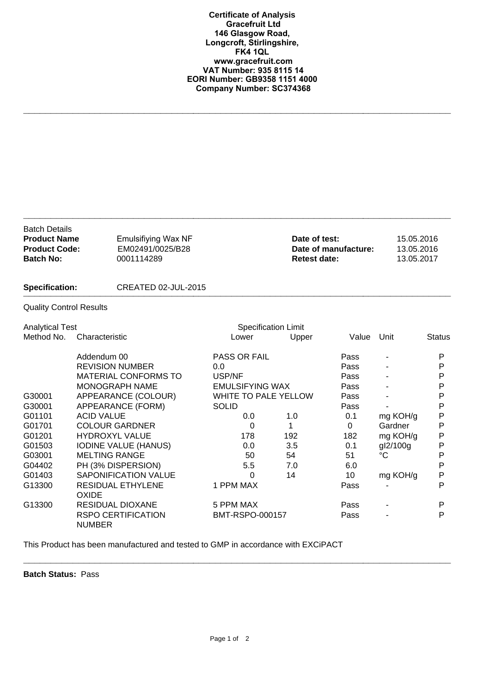**Certificate of Analysis Gracefruit Ltd 146 Glasgow Road, Longcroft, Stirlingshire, FK4 1QL www.gracefruit.com VAT Number: 935 8115 14 EORI Number: GB9358 1151 4000 Company Number: SC374368**

**\_\_\_\_\_\_\_\_\_\_\_\_\_\_\_\_\_\_\_\_\_\_\_\_\_\_\_\_\_\_\_\_\_\_\_\_\_\_\_\_\_\_\_\_\_\_\_\_\_\_\_\_\_\_\_\_\_\_\_\_\_\_\_\_\_\_\_\_\_\_\_\_\_\_\_\_\_\_**

| <b>Batch Details</b><br><b>Product Name</b><br><b>Product Code:</b><br><b>Batch No:</b> | <b>Emulsifiying Wax NF</b><br>EM02491/0025/B28<br>0001114289 |                     |                             | Date of test:<br>Date of manufacture:<br><b>Retest date:</b> |                 | 15.05.2016<br>13.05.2016<br>13.05.2017 |  |
|-----------------------------------------------------------------------------------------|--------------------------------------------------------------|---------------------|-----------------------------|--------------------------------------------------------------|-----------------|----------------------------------------|--|
| <b>Specification:</b>                                                                   | CREATED 02-JUL-2015                                          |                     |                             |                                                              |                 |                                        |  |
| <b>Quality Control Results</b>                                                          |                                                              |                     |                             |                                                              |                 |                                        |  |
| <b>Analytical Test</b>                                                                  |                                                              |                     | <b>Specification Limit</b>  |                                                              |                 |                                        |  |
| Method No.                                                                              | Characteristic                                               | Lower               | Upper                       | Value                                                        | Unit            | <b>Status</b>                          |  |
|                                                                                         | Addendum 00                                                  | <b>PASS OR FAIL</b> |                             | Pass                                                         |                 | P                                      |  |
|                                                                                         | <b>REVISION NUMBER</b>                                       | 0.0                 |                             | Pass                                                         |                 | P                                      |  |
|                                                                                         | <b>MATERIAL CONFORMS TO</b>                                  | USP/NF              |                             | Pass                                                         |                 | P                                      |  |
|                                                                                         | MONOGRAPH NAME                                               |                     | <b>EMULSIFYING WAX</b>      |                                                              |                 | P                                      |  |
| G30001                                                                                  | APPEARANCE (COLOUR)                                          |                     | <b>WHITE TO PALE YELLOW</b> |                                                              |                 | P                                      |  |
| G30001                                                                                  | APPEARANCE (FORM)                                            | <b>SOLID</b>        |                             | Pass                                                         |                 | P                                      |  |
| G01101                                                                                  | <b>ACID VALUE</b>                                            | 0.0                 | 1.0                         | 0.1                                                          | mg KOH/g        | P                                      |  |
| G01701                                                                                  | <b>COLOUR GARDNER</b>                                        | 0                   | 1                           | $\Omega$                                                     | Gardner         | Ρ                                      |  |
| G01201                                                                                  | <b>HYDROXYL VALUE</b>                                        | 178                 | 192                         | 182                                                          | mg KOH/g        | P                                      |  |
| G01503                                                                                  | <b>IODINE VALUE (HANUS)</b>                                  | 0.0                 | 3.5                         | 0.1                                                          | gl2/100g        | P                                      |  |
| G03001                                                                                  | <b>MELTING RANGE</b>                                         | 50                  | 54                          | 51                                                           | $\rm ^{\circ}C$ | P                                      |  |
| G04402                                                                                  | PH (3% DISPERSION)                                           | 5.5                 | 7.0                         | 6.0                                                          |                 | P                                      |  |
| G01403                                                                                  | <b>SAPONIFICATION VALUE</b>                                  | 0                   | 14                          | 10                                                           | mg KOH/g        | P                                      |  |
| G13300                                                                                  | <b>RESIDUAL ETHYLENE</b><br><b>OXIDE</b>                     | 1 PPM MAX           |                             | Pass                                                         |                 | P                                      |  |
| G13300                                                                                  | RESIDUAL DIOXANE                                             | 5 PPM MAX           |                             | Pass                                                         |                 | P                                      |  |
|                                                                                         | <b>RSPO CERTIFICATION</b><br><b>NUMBER</b>                   | BMT-RSPO-000157     |                             | Pass                                                         |                 | P                                      |  |

This Product has been manufactured and tested to GMP in accordance with EXCiPACT

**Batch Status:** Pass

**\_\_\_\_\_\_\_\_\_\_\_\_\_\_\_\_\_\_\_\_\_\_\_\_\_\_\_\_\_\_\_\_\_\_\_\_\_\_\_\_\_\_\_\_\_\_\_\_\_\_\_\_\_\_\_\_\_\_\_\_\_\_\_\_\_\_\_\_\_\_\_\_\_\_\_\_\_\_**